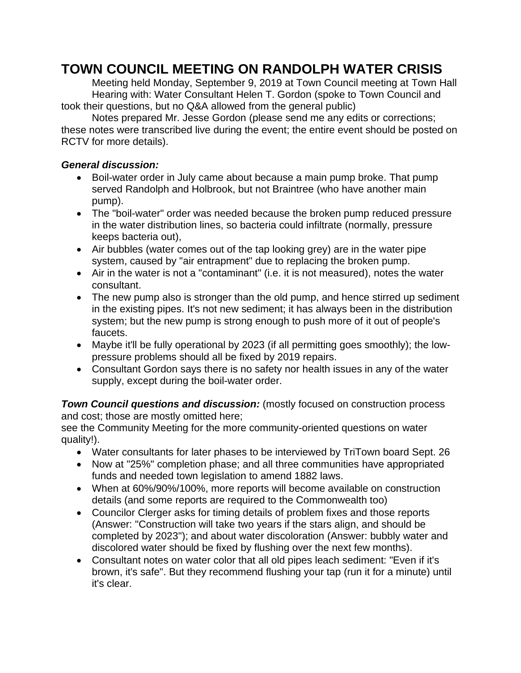## **TOWN COUNCIL MEETING ON RANDOLPH WATER CRISIS**

Meeting held Monday, September 9, 2019 at Town Council meeting at Town Hall Hearing with: Water Consultant Helen T. Gordon (spoke to Town Council and took their questions, but no Q&A allowed from the general public)

Notes prepared Mr. Jesse Gordon (please send me any edits or corrections; these notes were transcribed live during the event; the entire event should be posted on RCTV for more details).

## *General discussion:*

- Boil-water order in July came about because a main pump broke. That pump served Randolph and Holbrook, but not Braintree (who have another main pump).
- The "boil-water" order was needed because the broken pump reduced pressure in the water distribution lines, so bacteria could infiltrate (normally, pressure keeps bacteria out),
- Air bubbles (water comes out of the tap looking grey) are in the water pipe system, caused by "air entrapment" due to replacing the broken pump.
- Air in the water is not a "contaminant" (i.e. it is not measured), notes the water consultant.
- The new pump also is stronger than the old pump, and hence stirred up sediment in the existing pipes. It's not new sediment; it has always been in the distribution system; but the new pump is strong enough to push more of it out of people's faucets.
- Maybe it'll be fully operational by 2023 (if all permitting goes smoothly); the lowpressure problems should all be fixed by 2019 repairs.
- Consultant Gordon says there is no safety nor health issues in any of the water supply, except during the boil-water order.

*Town Council questions and discussion:* (mostly focused on construction process and cost; those are mostly omitted here;

see the Community Meeting for the more community-oriented questions on water quality!).

- Water consultants for later phases to be interviewed by TriTown board Sept. 26
- Now at "25%" completion phase; and all three communities have appropriated funds and needed town legislation to amend 1882 laws.
- When at 60%/90%/100%, more reports will become available on construction details (and some reports are required to the Commonwealth too)
- Councilor Clerger asks for timing details of problem fixes and those reports (Answer: "Construction will take two years if the stars align, and should be completed by 2023"); and about water discoloration (Answer: bubbly water and discolored water should be fixed by flushing over the next few months).
- Consultant notes on water color that all old pipes leach sediment: "Even if it's brown, it's safe". But they recommend flushing your tap (run it for a minute) until it's clear.